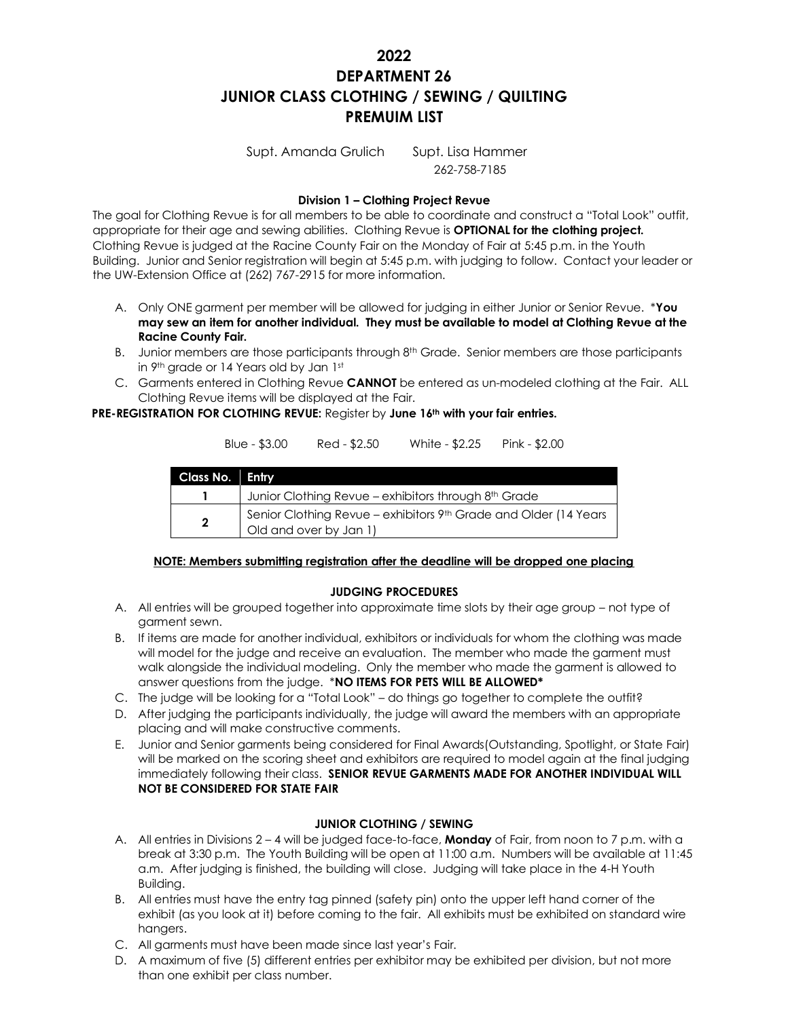# **2022 DEPARTMENT 26 JUNIOR CLASS CLOTHING / SEWING / QUILTING PREMUIM LIST**

Supt. Amanda Grulich Supt. Lisa Hammer 262-758-7185

# **Division 1 – Clothing Project Revue**

The goal for Clothing Revue is for all members to be able to coordinate and construct a "Total Look" outfit, appropriate for their age and sewing abilities. Clothing Revue is **OPTIONAL for the clothing project.**  Clothing Revue is judged at the Racine County Fair on the Monday of Fair at 5:45 p.m. in the Youth Building. Junior and Senior registration will begin at 5:45 p.m. with judging to follow. Contact your leader or the UW-Extension Office at (262) 767-2915 for more information.

- A. Only ONE garment per member will be allowed for judging in either Junior or Senior Revue. \***You may sew an item for another individual. They must be available to model at Clothing Revue at the Racine County Fair.**
- B. Junior members are those participants through 8<sup>th</sup> Grade. Senior members are those participants in 9th grade or 14 Years old by Jan 1st
- C. Garments entered in Clothing Revue **CANNOT** be entered as un-modeled clothing at the Fair. ALL Clothing Revue items will be displayed at the Fair.

**PRE-REGISTRATION FOR CLOTHING REVUE:** Register by **June 16th with your fair entries.** 

|                 | Blue - $$3.00$                                                                             | Red - \$2.50 | White - \$2.25                                       | Pink - \$2.00 |
|-----------------|--------------------------------------------------------------------------------------------|--------------|------------------------------------------------------|---------------|
| Class No. Entry |                                                                                            |              |                                                      |               |
|                 |                                                                                            |              | Junior Clothing Revue - exhibitors through 8th Grade |               |
| $\overline{2}$  | Senior Clothing Revue - exhibitors 9th Grade and Older (14 Years<br>Old and over by Jan 1) |              |                                                      |               |

## **NOTE: Members submitting registration after the deadline will be dropped one placing**

## **JUDGING PROCEDURES**

- A. All entries will be grouped together into approximate time slots by their age group not type of garment sewn.
- B. If items are made for another individual, exhibitors or individuals for whom the clothing was made will model for the judge and receive an evaluation. The member who made the garment must walk alongside the individual modeling. Only the member who made the garment is allowed to answer questions from the judge. \***NO ITEMS FOR PETS WILL BE ALLOWED\***
- C. The judge will be looking for a "Total Look" do things go together to complete the outfit?
- D. After judging the participants individually, the judge will award the members with an appropriate placing and will make constructive comments.
- E. Junior and Senior garments being considered for Final Awards(Outstanding, Spotlight, or State Fair) will be marked on the scoring sheet and exhibitors are required to model again at the final judging immediately following their class. **SENIOR REVUE GARMENTS MADE FOR ANOTHER INDIVIDUAL WILL NOT BE CONSIDERED FOR STATE FAIR**

# **JUNIOR CLOTHING / SEWING**

- A. All entries in Divisions 2 4 will be judged face-to-face, **Monday** of Fair, from noon to 7 p.m. with a break at 3:30 p.m. The Youth Building will be open at 11:00 a.m. Numbers will be available at 11:45 a.m. After judging is finished, the building will close. Judging will take place in the 4-H Youth Building.
- B. All entries must have the entry tag pinned (safety pin) onto the upper left hand corner of the exhibit (as you look at it) before coming to the fair. All exhibits must be exhibited on standard wire hangers.
- C. All garments must have been made since last year's Fair.
- D. A maximum of five (5) different entries per exhibitor may be exhibited per division, but not more than one exhibit per class number.